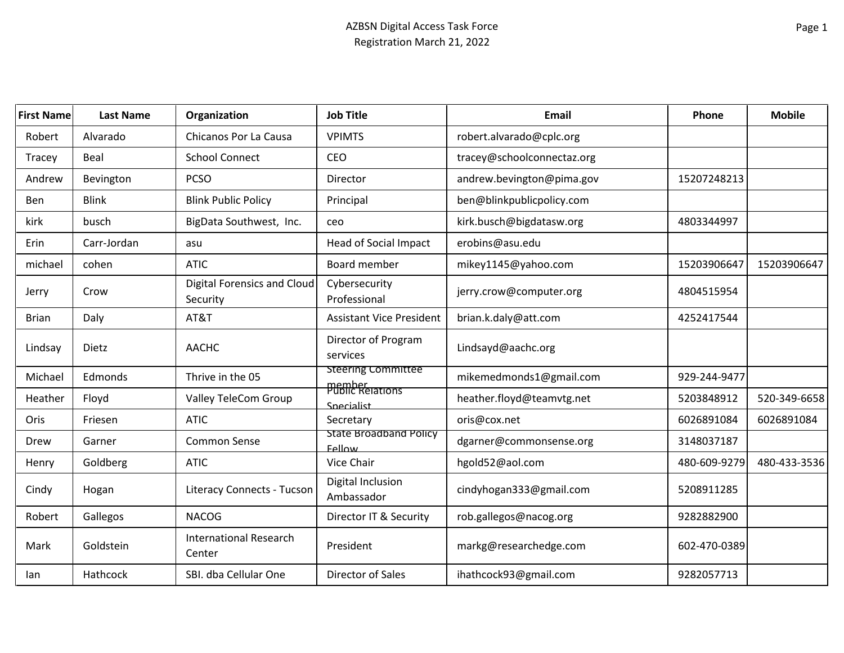| <b>First Name</b> | <b>Last Name</b> | Organization                                   | <b>Job Title</b>                      | <b>Email</b>               | Phone        | <b>Mobile</b> |
|-------------------|------------------|------------------------------------------------|---------------------------------------|----------------------------|--------------|---------------|
| Robert            | Alvarado         | Chicanos Por La Causa                          | <b>VPIMTS</b>                         | robert.alvarado@cplc.org   |              |               |
| Tracey            | Beal             | <b>School Connect</b>                          | CEO                                   | tracey@schoolconnectaz.org |              |               |
| Andrew            | Bevington        | <b>PCSO</b>                                    | Director                              | andrew.bevington@pima.gov  | 15207248213  |               |
| Ben               | <b>Blink</b>     | <b>Blink Public Policy</b>                     | Principal                             | ben@blinkpublicpolicy.com  |              |               |
| kirk              | busch            | BigData Southwest, Inc.                        | ceo                                   | kirk.busch@bigdatasw.org   | 4803344997   |               |
| Erin              | Carr-Jordan      | asu                                            | <b>Head of Social Impact</b>          | erobins@asu.edu            |              |               |
| michael           | cohen            | <b>ATIC</b>                                    | Board member                          | mikey1145@yahoo.com        | 15203906647  | 15203906647   |
| Jerry             | Crow             | <b>Digital Forensics and Cloud</b><br>Security | Cybersecurity<br>Professional         | jerry.crow@computer.org    | 4804515954   |               |
| <b>Brian</b>      | Daly             | AT&T                                           | <b>Assistant Vice President</b>       | brian.k.daly@att.com       | 4252417544   |               |
| Lindsay           | Dietz            | <b>AACHC</b>                                   | Director of Program<br>services       | Lindsayd@aachc.org         |              |               |
| Michael           | Edmonds          | Thrive in the 05                               | <b>Steering Committee</b>             | mikemedmonds1@gmail.com    | 929-244-9477 |               |
| Heather           | Floyd            | Valley TeleCom Group                           | <b>Public Relations</b><br>Snecialist | heather.floyd@teamvtg.net  | 5203848912   | 520-349-6658  |
| Oris              | Friesen          | <b>ATIC</b>                                    | Secretary                             | oris@cox.net               | 6026891084   | 6026891084    |
| Drew              | Garner           | Common Sense                                   | State Broadband Policy<br>Fellow      | dgarner@commonsense.org    | 3148037187   |               |
| Henry             | Goldberg         | <b>ATIC</b>                                    | Vice Chair                            | hgold52@aol.com            | 480-609-9279 | 480-433-3536  |
| Cindy             | Hogan            | <b>Literacy Connects - Tucson</b>              | Digital Inclusion<br>Ambassador       | cindyhogan333@gmail.com    | 5208911285   |               |
| Robert            | Gallegos         | <b>NACOG</b>                                   | Director IT & Security                | rob.gallegos@nacog.org     | 9282882900   |               |
| Mark              | Goldstein        | <b>International Research</b><br>Center        | President                             | markg@researchedge.com     | 602-470-0389 |               |
| lan               | Hathcock         | SBI. dba Cellular One                          | Director of Sales                     | ihathcock93@gmail.com      | 9282057713   |               |
|                   |                  |                                                |                                       |                            |              |               |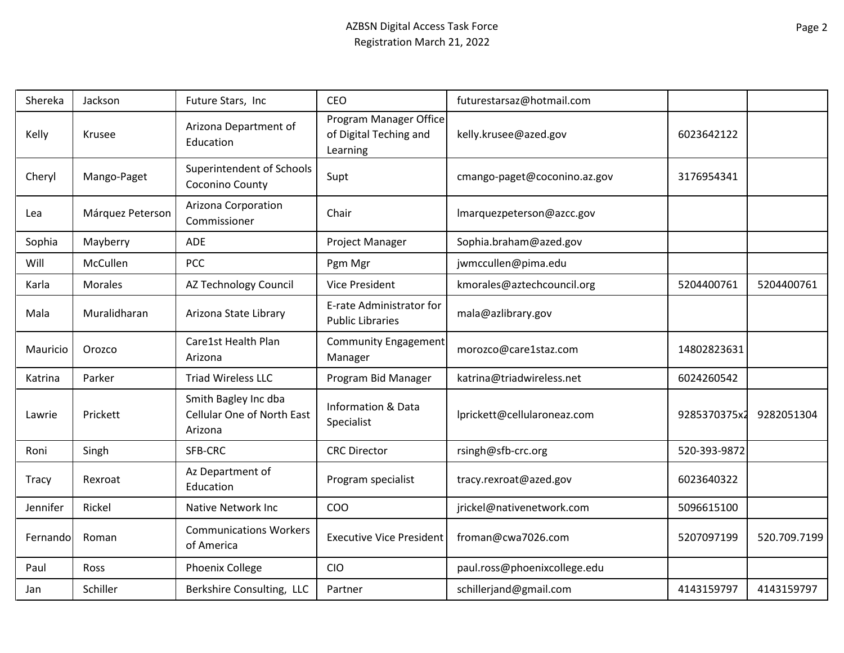| Shereka      | Jackson          | Future Stars, Inc                                                    | <b>CEO</b>                                                   | futurestarsaz@hotmail.com    |              |              |
|--------------|------------------|----------------------------------------------------------------------|--------------------------------------------------------------|------------------------------|--------------|--------------|
| Kelly        | Krusee           | Arizona Department of<br>Education                                   | Program Manager Office<br>of Digital Teching and<br>Learning | kelly.krusee@azed.gov        | 6023642122   |              |
| Cheryl       | Mango-Paget      | Superintendent of Schools<br>Coconino County                         | Supt                                                         | cmango-paget@coconino.az.gov | 3176954341   |              |
| Lea          | Márquez Peterson | Arizona Corporation<br>Commissioner                                  | Chair                                                        | Imarquezpeterson@azcc.gov    |              |              |
| Sophia       | Mayberry         | ADE                                                                  | Project Manager                                              | Sophia.braham@azed.gov       |              |              |
| Will         | McCullen         | PCC                                                                  | Pgm Mgr                                                      | jwmccullen@pima.edu          |              |              |
| Karla        | Morales          | AZ Technology Council                                                | <b>Vice President</b>                                        | kmorales@aztechcouncil.org   | 5204400761   | 5204400761   |
| Mala         | Muralidharan     | Arizona State Library                                                | E-rate Administrator for<br><b>Public Libraries</b>          | mala@azlibrary.gov           |              |              |
| Mauricio     | Orozco           | Care1st Health Plan<br>Arizona                                       | <b>Community Engagement</b><br>Manager                       | morozco@care1staz.com        | 14802823631  |              |
| Katrina      | Parker           | <b>Triad Wireless LLC</b>                                            | Program Bid Manager                                          | katrina@triadwireless.net    | 6024260542   |              |
| Lawrie       | Prickett         | Smith Bagley Inc dba<br><b>Cellular One of North East</b><br>Arizona | <b>Information &amp; Data</b><br>Specialist                  | lprickett@cellularoneaz.com  | 9285370375x2 | 9282051304   |
| Roni         | Singh            | SFB-CRC                                                              | <b>CRC</b> Director                                          | rsingh@sfb-crc.org           | 520-393-9872 |              |
| <b>Tracy</b> | Rexroat          | Az Department of<br>Education                                        | Program specialist                                           | tracy.rexroat@azed.gov       | 6023640322   |              |
| Jennifer     | Rickel           | Native Network Inc                                                   | COO                                                          | jrickel@nativenetwork.com    | 5096615100   |              |
| Fernando     | Roman            | <b>Communications Workers</b><br>of America                          | <b>Executive Vice President</b>                              | froman@cwa7026.com           | 5207097199   | 520.709.7199 |
| Paul         | Ross             | Phoenix College                                                      | <b>CIO</b>                                                   | paul.ross@phoenixcollege.edu |              |              |
| Jan          | Schiller         | Berkshire Consulting, LLC                                            | Partner                                                      | schillerjand@gmail.com       | 4143159797   | 4143159797   |